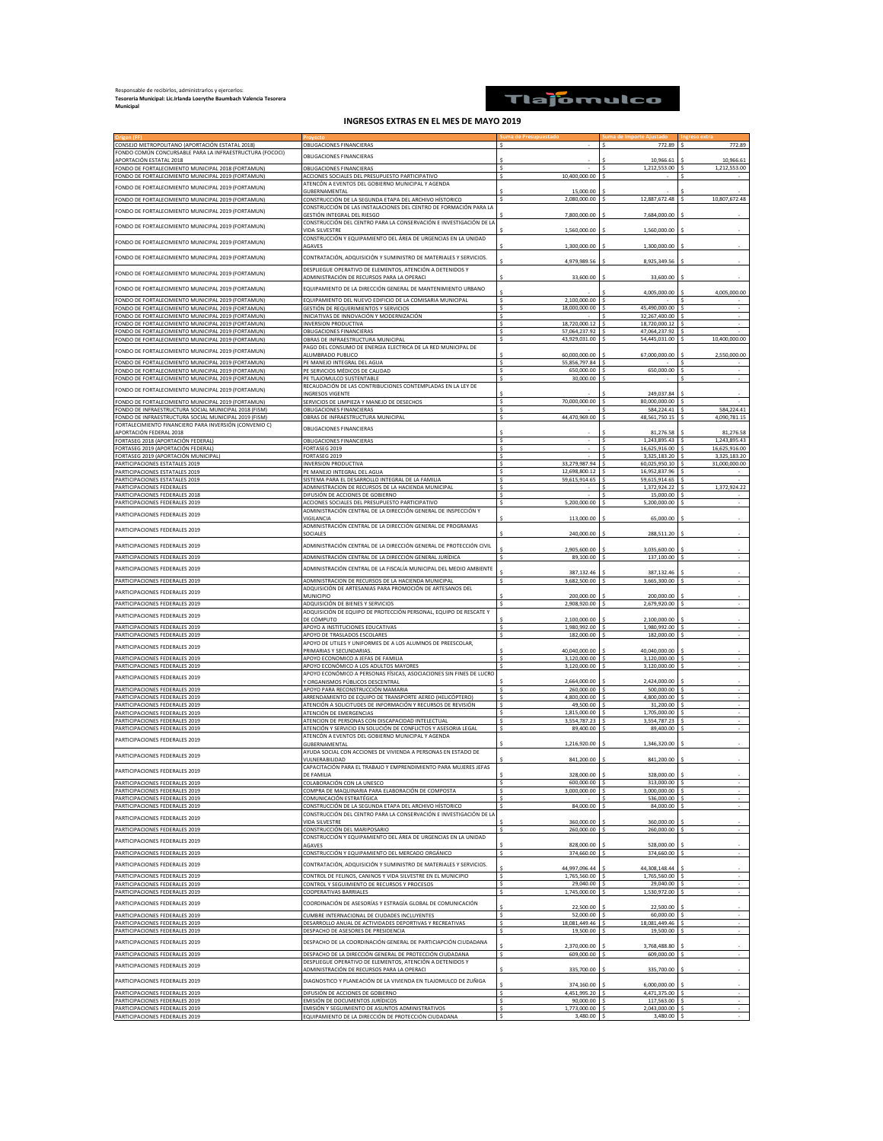## Responsable de recibirlos, administrarlos y ejercerlos: **Tesoreria Municipal: Lic.Irlanda Loerythe Baumbach Valencia Tesorera Municipal**

## Tlajomulco

## **INGRESOS EXTRAS EN EL MES DE MAYO 2019**

| CONSEJO METROPOLITANO (APORTACIÓN ESTATAL 2018)                                                                | OBLIGACIONES FINANCIERAS                                                                               |                                | 772.89                         | 772.89                        |
|----------------------------------------------------------------------------------------------------------------|--------------------------------------------------------------------------------------------------------|--------------------------------|--------------------------------|-------------------------------|
| FONDO COMÚN CONCURSABLE PARA LA INFRAESTRUCTURA (FOCOCI)                                                       | OBLIGACIONES FINANCIERAS                                                                               |                                |                                |                               |
| APORTACIÓN ESTATAL 2018<br>FONDO DE FORTALECIMIENTO MUNICIPAL 2018 (FORTAMUN)                                  | <b>OBLIGACIONES FINANCIERAS</b>                                                                        |                                | 10,966.61<br>1,212,553.00      | 10,966.61<br>1,212,553.00     |
| FONDO DE FORTALECIMIENTO MUNICIPAL 2019 (FORTAMUN)                                                             | ACCIONES SOCIALES DEL PRESUPUESTO PARTICIPATIVO                                                        | 10,400,000.00                  |                                |                               |
|                                                                                                                | ATENCÓN A EVENTOS DEL GOBIERNO MUNICIPAL Y AGENDA                                                      |                                |                                |                               |
| FONDO DE FORTALECIMIENTO MUNICIPAL 2019 (FORTAMUN)                                                             | GUBERNAMENTAL                                                                                          | 15,000.00                      |                                |                               |
| FONDO DE FORTALECIMIENTO MUNICIPAL 2019 (FORTAMUN)                                                             | CONSTRUCCIÓN DE LA SEGUNDA ETAPA DEL ARCHIVO HÍSTORICO                                                 | 2,080,000.00                   | 12,887,672.48                  | 10,807,672.48                 |
| FONDO DE FORTALECIMIENTO MUNICIPAL 2019 (FORTAMUN)                                                             | CONSTRUCCIÓN DE LAS INSTALACIONES DEL CENTRO DE FORMACIÓN PARA LA                                      |                                |                                |                               |
|                                                                                                                | GESTIÓN INTEGRAL DEL RIESGO<br>CONSTRUCCIÓN DEL CENTRO PARA LA CONSERVACIÓN E INVESTIGACIÓN DE LA      | 7,800,000.00                   | 7,684,000.00                   |                               |
| FONDO DE FORTALECIMIENTO MUNICIPAL 2019 (FORTAMUN)                                                             | VIDA SILVESTRE                                                                                         | 1,560,000.00                   | 1,560,000.00                   |                               |
| FONDO DE FORTALECIMIENTO MUNICIPAL 2019 (FORTAMUN)                                                             | CONSTRUCCIÓN Y EQUIPAMIENTO DEL ÁREA DE URGENCIAS EN LA UNIDAD                                         |                                |                                |                               |
|                                                                                                                | <b>AGAVES</b>                                                                                          | 1,300,000.00                   | 1,300,000.00                   |                               |
| FONDO DE FORTALECIMIENTO MUNICIPAL 2019 (FORTAMUN)                                                             | CONTRATACIÓN, ADQUISICIÓN Y SUMINISTRO DE MATERIALES Y SERVICIOS.                                      | 4.979.989.56                   | 8,925,349.56                   |                               |
|                                                                                                                | DESPLIEGUE OPERATIVO DE ELEMENTOS, ATENCIÓN A DETENIDOS Y                                              |                                |                                |                               |
| FONDO DE FORTALECIMIENTO MUNICIPAL 2019 (FORTAMUN)                                                             | <u>ADMINISTRACIÓN DE RECURSOS PARA LA OPERACI</u>                                                      | 33,600.00                      | 33,600.00                      |                               |
| FONDO DE FORTALECIMIENTO MUNICIPAL 2019 (FORTAMUN)                                                             | EQUIPAMIENTO DE LA DIRECCIÓN GENERAL DE MANTENIMIENTO URBANO                                           |                                |                                |                               |
|                                                                                                                |                                                                                                        |                                | 4.005.000.00                   | 4,005,000.00                  |
| FONDO DE FORTALECIMIENTO MUNICIPAL 2019 (FORTAMUN)                                                             | EQUIPAMIENTO DEL NUEVO EDIFICIO DE LA COMISARIA MUNICIPAL                                              | 2.100.000.00                   | 45,490,000.00                  |                               |
| FONDO DE FORTALECIMIENTO MUNICIPAL 2019 (FORTAMUN)<br>FONDO DE FORTALECIMIENTO MUNICIPAL 2019 (FORTAMUN)       | GESTIÓN DE REQUERIMIENTOS Y SERVICIOS<br>INICIATIVAS DE INNOVACIÓN Y MODERNIZACIÓN                     | 18,000,000.00                  | 32,267,400.00                  |                               |
| FONDO DE FORTALECIMIENTO MUNICIPAL 2019 (FORTAMUN)                                                             | <b>INVERSION PRODUCTIVA</b>                                                                            | 18,720,000.12                  | 18,720,000.12                  |                               |
| FONDO DE FORTALECIMIENTO MUNICIPAL 2019 (FORTAMUN)                                                             | OBLIGACIONES FINANCIERAS                                                                               | 57,064,237.92                  | 47,064,237.92                  |                               |
| FONDO DE FORTALECIMIENTO MUNICIPAL 2019 (FORTAMUN)                                                             | OBRAS DE INFRAESTRUCTURA MUNICIPAL                                                                     | 43,929,031.00                  | 54,445,031.00                  | 10,400,000.00                 |
| FONDO DE FORTALECIMIENTO MUNICIPAL 2019 (FORTAMUN)                                                             | PAGO DEL CONSUMO DE ENERGIA ELECTRICA DE LA RED MUNICIPAL DE                                           |                                |                                |                               |
| FONDO DE FORTALECIMIENTO MUNICIPAL 2019 (FORTAMUN)                                                             | ALUMBRADO PUBLICO<br>PE MANEJO INTEGRAL DEL AGUA                                                       | 60,000,000.00<br>55,856,797.84 | 67,000,000.00                  | 2,550,000.00                  |
| FONDO DE FORTALECIMIENTO MUNICIPAL 2019 (FORTAMUN)                                                             | PE SERVICIOS MÉDICOS DE CALIDAD                                                                        | 650,000.00                     | 650,000.00                     | $\overline{\phantom{a}}$      |
| FONDO DE FORTALECIMIENTO MUNICIPAL 2019 (FORTAMUN)                                                             | PE TLAJOMULCO SUSTENTABLE                                                                              | 30,000.00                      |                                | $\sim$                        |
| FONDO DE FORTALECIMIENTO MUNICIPAL 2019 (FORTAMUN)                                                             | RECAUDACIÓN DE LAS CONTRIBUCIONES CONTEMPLADAS EN LA LEY DE                                            |                                |                                |                               |
|                                                                                                                | <b>INGRESOS VIGENTE</b>                                                                                |                                | 249,037.84                     |                               |
| FONDO DE FORTALECIMIENTO MUNICIPAL 2019 (FORTAMUN)                                                             | SERVICIOS DE LIMPIEZA Y MANEJO DE DESECHOS                                                             | 70,000,000.00                  | 80,000,000.00                  |                               |
| FONDO DE INFRAESTRUCTURA SOCIAL MUNICIPAL 2018 (FISM)<br>FONDO DE INFRAESTRUCTURA SOCIAL MUNICIPAL 2019 (FISM) | OBLIGACIONES FINANCIERAS<br>OBRAS DE INFRAESTRUCTURA MUNICIPAL                                         | 44,470,969.00                  | 584,224.41                     | 584,224.41<br>4.090.781.15    |
| FORTALECIMIENTO FINANCIERO PARA INVERSIÓN (CONVENIO C)                                                         |                                                                                                        |                                | 48,561,750.15                  |                               |
| APORTACIÓN FEDERAL 2018                                                                                        | OBLIGACIONES FINANCIERAS                                                                               |                                | 81,276.58                      | 81,276.58                     |
| FORTASEG 2018 (APORTACIÓN FEDERAL)                                                                             | <b>OBLIGACIONES FINANCIERAS</b>                                                                        | $\sim$                         | 1,243,895.43<br>Ś              | 1,243,895.43                  |
| FORTASEG 2019 (APORTACIÓN FEDERAL)                                                                             | FORTASEG 2019                                                                                          |                                | 16,625,916.00                  | 16,625,916.00                 |
| FORTASEG 2019 (APORTACIÓN MUNICIPAL)<br>PARTICIPACIONES ESTATALES 2019                                         | FORTASEG 2019                                                                                          |                                | 3,325,183.20                   | 3.325.183.20<br>31,000,000.00 |
| PARTICIPACIONES ESTATALES 2019                                                                                 | <b>INVERSION PRODUCTIVA</b><br>PE MANEJO INTEGRAL DEL AGUA                                             | 33,279,987.94<br>12,698,800.12 | 60,025,950.10<br>16,952,837.96 |                               |
| PARTICIPACIONES ESTATALES 2019                                                                                 | SISTEMA PARA EL DESARROLLO INTEGRAL DE LA FAMILIA                                                      | 59,615,914.65                  | 59.615.914.65                  |                               |
| PARTICIPACIONES FEDERALES                                                                                      | ADMINISTRACION DE RECURSOS DE LA HACIENDA MUNICIPAL                                                    |                                | 1,372,924.22                   | 1,372,924.22                  |
| PARTICIPACIONES FEDERALES 2018                                                                                 | DIFUSIÓN DE ACCIONES DE GOBIERNO                                                                       |                                | 15,000.00                      |                               |
| PARTICIPACIONES FEDERALES 2019                                                                                 | ACCIONES SOCIALES DEL PRESUPUESTO PARTICIPATIVO                                                        | 5,200,000.00                   | 5,200,000.00                   |                               |
| PARTICIPACIONES FEDERALES 2019                                                                                 | ADMINISTRACIÓN CENTRAL DE LA DIRECCIÓN GENERAL DE INSPECCIÓN Y                                         |                                |                                |                               |
|                                                                                                                | VIGILANCIA<br>ADMINISTRACIÓN CENTRAL DE LA DIRECCIÓN GENERAL DE PROGRAMAS                              | 113,000.00                     | 65,000.00                      |                               |
| PARTICIPACIONES FEDERALES 2019                                                                                 | SOCIALES                                                                                               | 240,000.00                     | 288,511.20                     |                               |
|                                                                                                                |                                                                                                        |                                |                                |                               |
| PARTICIPACIONES FEDERALES 2019                                                                                 | ADMINISTRACIÓN CENTRAL DE LA DIRECCIÓN GENERAL DE PROTECCIÓN CIVIL                                     | 2,905,600.00<br>89,100.00      | 3,035,600.00<br>137,100.00     |                               |
| PARTICIPACIONES FEDERALES 2019                                                                                 | ADMINISTRACIÓN CENTRAL DE LA DIRECCIÓN GENERAL JURÍDICA                                                |                                |                                |                               |
| PARTICIPACIONES FEDERALES 2019                                                                                 | ADMINISTRACIÓN CENTRAL DE LA FISCALÍA MUNICIPAL DEL MEDIO AMBIENTE                                     | 387.132.46                     | 387,132.46                     |                               |
| PARTICIPACIONES FEDERALES 2019                                                                                 | ADMINISTRACION DE RECURSOS DE LA HACIENDA MUNICIPAL                                                    | 3,682,500.00                   | 3,665,300.00                   |                               |
| PARTICIPACIONES FEDERALES 2019                                                                                 | ADQUISICIÓN DE ARTESANIAS PARA PROMOCIÓN DE ARTESANOS DEL                                              |                                |                                |                               |
|                                                                                                                | <b>MUNICIPIO</b>                                                                                       | 200,000.00                     | 200,000.00                     |                               |
| PARTICIPACIONES FEDERALES 2019                                                                                 | ADQUISICIÓN DE BIENES Y SERVICIOS<br>ADQUISICIÓN DE EQUIPO DE PROTECCIÓN PERSONAL, EQUIPO DE RESCATE Y | 2,908,920.00                   | 2,679,920.00                   |                               |
| PARTICIPACIONES FEDERALES 2019                                                                                 | DE CÓMPUTO                                                                                             | 2,100,000.00                   | 2,100,000.00                   |                               |
| PARTICIPACIONES FEDERALES 2019                                                                                 | APOYO A INSTITUCIONES EDUCATIVAS                                                                       | 1,980,992.00                   | 1,980,992.00                   |                               |
| PARTICIPACIONES FEDERALES 2019                                                                                 | APOYO DE TRASLADOS ESCOLARES                                                                           | 182,000.00                     | 182,000.00                     |                               |
| PARTICIPACIONES FEDERALES 2019                                                                                 | APOYO DE UTILES Y UNIFORMES DE A LOS ALUMNOS DE PREESCOLAR,                                            |                                |                                |                               |
| PARTICIPACIONES FEDERALES 2019                                                                                 | PRIMARIAS Y SECUNDARIAS.<br>APOYO ECONOMICO A JEFAS DE FAMILIA                                         | 40.040.000.00<br>3,120,000.00  | 40.040.000.00<br>3,120,000.00  |                               |
| PARTICIPACIONES FEDERALES 2019                                                                                 | APOYO ECONÓMICO A LOS ADULTOS MAYORES                                                                  | 3,120,000.00                   | 3,120,000.00                   |                               |
|                                                                                                                | APOYO ECONÓMICO A PERSONAS FÍSICAS, ASOCIACIONES SIN FINES DE LUCRO                                    |                                |                                |                               |
| PARTICIPACIONES FEDERALES 2019                                                                                 | Y ORGANISMOS PÚBLICOS DESCENTRAL                                                                       | 2,664,000.00                   | 2,424,000.00                   |                               |
| PARTICIPACIONES FEDERALES 2019                                                                                 | APOYO PARA RECONSTRUCCIÓN MAMARIA                                                                      | 260,000,00                     | 500,000.00                     |                               |
| PARTICIPACIONES FEDERALES 2019                                                                                 | ARRENDAMIENTO DE EQUIPO DE TRANSPORTE AEREO (HELICÓPTERO                                               | 4,800,000.00                   | 4,800,000.00                   |                               |
| PARTICIPACIONES FEDERALES 2019<br>PARTICIPACIONES FEDERALES 2019                                               | ATENCIÓN A SOLICITUDES DE INFORMACIÓN Y RECURSOS DE REVISIÓN<br>ATENCIÓN DE EMERGENCIAS                | 49,500.00<br>1,815,000.00      | 31,200.00<br>1,705,000.00      |                               |
| PARTICIPACIONES FEDERALES 2019                                                                                 | ATENCION DE PERSONAS CON DISCAPACIDAD INTELECTUAL                                                      | 3,554,787.23                   | 3,554,787.23                   |                               |
| PARTICIPACIONES FEDERALES 2019                                                                                 | ATENCIÓN Y SERVICIO EN SOLUCIÓN DE CONFLICTOS Y ASESORIA LEGAL                                         | 89,400.00                      | 89,400.00                      |                               |
| PARTICIPACIONES FEDERALES 2019                                                                                 | ATENCÓN A EVENTOS DEL GOBIERNO MUNICIPAL Y AGENDA                                                      |                                |                                |                               |
|                                                                                                                | GUBERNAMENTAL                                                                                          | 1,216,920.00                   | 1,346,320.00                   |                               |
| PARTICIPACIONES FEDERALES 2019                                                                                 | AYUDA SOCIAL CON ACCIONES DE VIVIENDA A PERSONAS EN ESTADO DE<br>VULNERABILIDAD                        | 841,200.00                     | 841,200.00                     |                               |
|                                                                                                                | CAPACITACIÓN PARA EL TRABAJO Y EMPRENDIMIENTO PARA MUJERES JEFAS                                       |                                |                                |                               |
| PARTICIPACIONES FEDERALES 2019                                                                                 | <b>DE FAMILIA</b>                                                                                      | 328,000.00                     | 328,000.00                     |                               |
| PARTICIPACIONES FEDERALES 2019                                                                                 | COLABORACIÓN CON LA UNESCO                                                                             | 600,000.00                     | 313,000.00                     |                               |
| PARTICIPACIONES FEDERALES 2019                                                                                 | COMPRA DE MAQUINARIA PARA ELABORACIÓN DE COMPOSTA                                                      | 3,000,000.00<br>Ś              | 3,000,000.00                   |                               |
| PARTICIPACIONES FEDERALES 2019<br>PARTICIPACIONES FEDERALES 2019                                               | COMUNICACIÓN ESTRATÉGICA<br>CONSTRUCCIÓN DE LA SEGUNDA ETAPA DEL ARCHIVO HÍSTORICO                     | 84,000.00                      | 536,000.00<br>84,000.00        | $\epsilon$                    |
|                                                                                                                | CONSTRUCCIÓN DEL CENTRO PARA LA CONSERVACIÓN E INVESTIGACIÓN DE LA                                     |                                |                                |                               |
| PARTICIPACIONES FEDERALES 2019                                                                                 | VIDA SILVESTRE                                                                                         | 360,000.00                     | 360,000.00                     |                               |
| PARTICIPACIONES FEDERALES 2019                                                                                 | CONSTRUCCIÓN DEL MARIPOSARIO                                                                           | 260,000.00                     | 260,000.00                     | $\sim$                        |
| PARTICIPACIONES FEDERALES 2019                                                                                 | CONSTRUCCIÓN Y EQUIPAMIENTO DEL ÁREA DE URGENCIAS EN LA UNIDAD                                         |                                |                                |                               |
| PARTICIPACIONES FEDERALES 2019                                                                                 | <b>AGAVES</b><br>CONSTRUCCIÓN Y EQUIPAMIENTO DEL MERCADO ORGÁNICO                                      | 828,000.00<br>374,660.00       | 528,000.00<br>374,660.00       | $\overline{\phantom{a}}$      |
|                                                                                                                |                                                                                                        |                                |                                |                               |
| PARTICIPACIONES FEDERALES 2019                                                                                 | CONTRATACIÓN, ADQUISICIÓN Y SUMINISTRO DE MATERIALES Y SERVICIOS.                                      | 44,997,096.44                  | 44,308,148.44                  |                               |
| PARTICIPACIONES FEDERALES 2019                                                                                 | CONTROL DE FELINOS, CANINOS Y VIDA SILVESTRE EN EL MUNICIPIO                                           | 1,765,560.00                   | 1,765,560.00                   | $\sim$                        |
| PARTICIPACIONES FEDERALES 2019                                                                                 | CONTROL Y SEGUIMIENTO DE RECURSOS Y PROCESOS                                                           | 29,040.00                      | 29,040.00                      | $\epsilon$                    |
| PARTICIPACIONES FEDERALES 2019                                                                                 | <b>COOPERATIVAS BARRIALES</b>                                                                          | 1,745,000.00                   | 1,530,972.00                   |                               |
| PARTICIPACIONES FEDERALES 2019                                                                                 | COORDINACIÓN DE ASESORÍAS Y ESTRAGÍA GLOBAL DE COMUNICACIÓN                                            | 22,500.00                      | 22,500.00                      |                               |
| PARTICIPACIONES FEDERALES 2019                                                                                 | CUMBRE INTERNACIONAL DE CIUDADES INCLUYENTES                                                           | 52,000.00                      | 60,000.00                      | $\overline{\phantom{a}}$      |
| PARTICIPACIONES FEDERALES 2019                                                                                 | DESARROLLO ANUAL DE ACTIVIDADES DEPORTIVAS Y RECREATIVAS                                               | 18,081,449.46                  | 18,081,449.46                  | $\sim$                        |
| PARTICIPACIONES FEDERALES 2019                                                                                 | DESPACHO DE ASESORES DE PRESIDENCIA                                                                    | 19,500.00                      | 19,500.00                      |                               |
| PARTICIPACIONES FEDERALES 2019                                                                                 | DESPACHO DE LA COORDINACIÓN GENERAL DE PARTICIAPCIÓN CIUDADANA                                         |                                |                                |                               |
| PARTICIPACIONES FEDERALES 2019                                                                                 | DESPACHO DE LA DIRECCIÓN GENERAL DE PROTECCIÓN CIUDADANA                                               | 2,370,000.00<br>609,000.00     | 3,768,488.80<br>609,000.00     | $\overline{\phantom{a}}$      |
|                                                                                                                | DESPLIEGUE OPERATIVO DE ELEMENTOS, ATENCIÓN A DETENIDOS Y                                              |                                |                                |                               |
| PARTICIPACIONES FEDERALES 2019                                                                                 | ADMINISTRACIÓN DE RECURSOS PARA LA OPERACI                                                             | 335,700.00                     | 335,700.00                     |                               |
| PARTICIPACIONES FEDERALES 2019                                                                                 | DIAGNOSTICO Y PLANEACIÓN DE LA VIVIENDA EN TLAJOMULCO DE ZUÑIGA                                        |                                |                                |                               |
|                                                                                                                |                                                                                                        | 374,160.00                     | 6,000,000.00                   |                               |
| PARTICIPACIONES FEDERALES 2019<br>PARTICIPACIONES FEDERALES 2019                                               | DIFUSIÓN DE ACCIONES DE GOBIERNO<br>EMISIÓN DE DOCUMENTOS JURÍDICOS                                    | 4,451,995.20<br>90.000.00<br>Ś | 4,471,375.00<br>117,563.00     | $\sim$                        |
| PARTICIPACIONES FEDERALES 2019                                                                                 | EMISIÓN Y SEGUIMIENTO DE ASUNTOS ADMINISTRATIVOS                                                       | 1,773,000.00                   | 2,043,000.00                   |                               |
| PARTICIPACIONES FEDERALES 2019                                                                                 | EQUIPAMIENTO DE LA DIRECCIÓN DE PROTECCIÓN CIUDADANA                                                   | $3,480.00$ \$                  | 3,480.00                       |                               |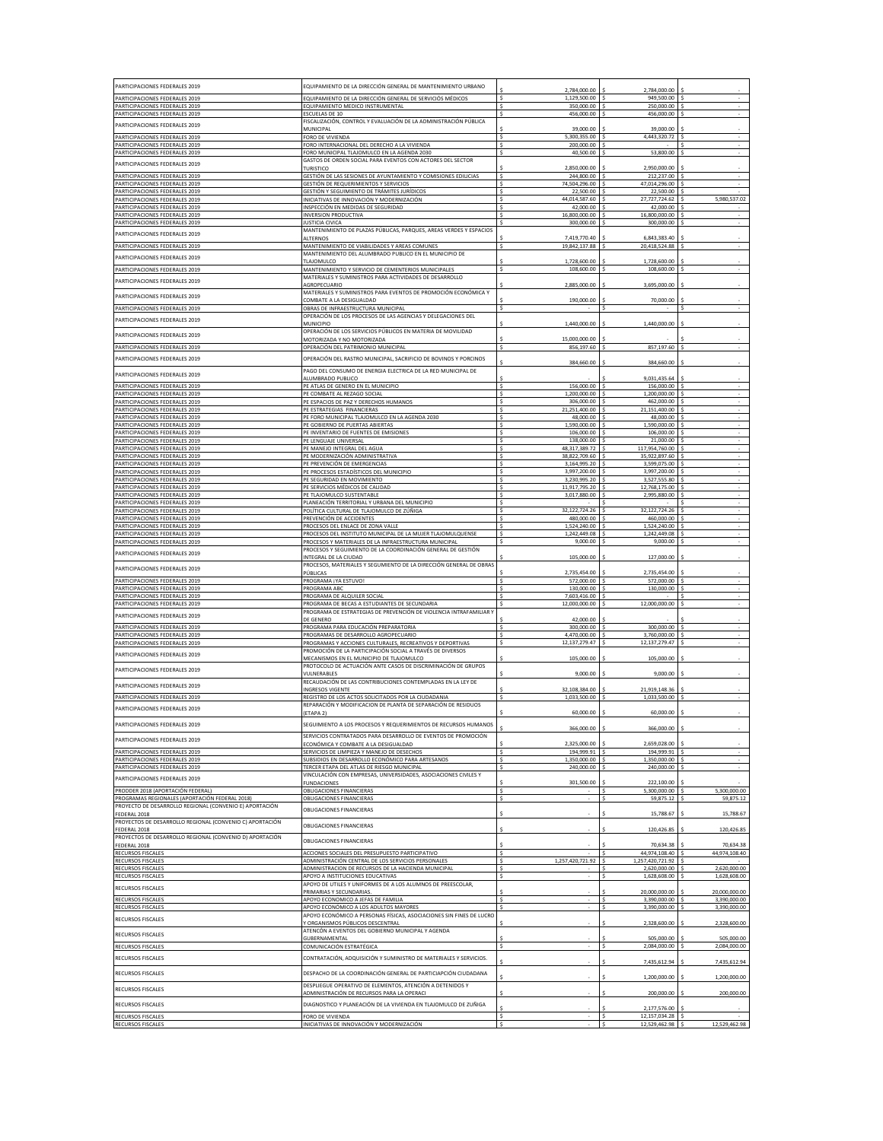| PARTICIPACIONES FEDERALES 2019                                                                            | EQUIPAMIENTO DE LA DIRECCIÓN GENERAL DE MANTENIMIENTO URBANO                                                          | 2,784,000.00                   | 2,784,000.00                           |                                    |
|-----------------------------------------------------------------------------------------------------------|-----------------------------------------------------------------------------------------------------------------------|--------------------------------|----------------------------------------|------------------------------------|
| PARTICIPACIONES FEDERALES 2019<br>PARTICIPACIONES FEDERALES 2019                                          | EQUIPAMIENTO DE LA DIRECCIÓN GENERAL DE SERVICIÓS MÉDICOS<br>EQUIPAMIENTO MEDICO INSTRUMENTAL                         | 1,129,500.00<br>350,000.00     | 949,500.00<br>250,000.00               |                                    |
| PARTICIPACIONES FEDERALES 2019<br>PARTICIPACIONES FEDERALES 2019                                          | <b>ESCUELAS DE 10</b><br>FISCALIZACIÓN, CONTROL Y EVALUACIÓN DE LA ADMINISTRACIÓN PÚBLICA                             | 456,000.00                     | 456,000.00                             |                                    |
| PARTICIPACIONES FEDERALES 2019                                                                            | MUNICIPAL<br>FORO DE VIVIENDA                                                                                         | 39,000.00<br>5,300,355.00      | 39,000.00<br>4,443,320.72              |                                    |
| PARTICIPACIONES FEDERALES 2019<br>PARTICIPACIONES FEDERALES 2019                                          | FORO INTERNACIONAL DEL DERECHO A LA VIVIENDA<br>FORO MUNICIPAL TLAJOMULCO EN LA AGENDA 2030                           | Ś<br>200,000.00<br>40,500.00   | 53,800.00                              | $\sim$<br>$\overline{\phantom{a}}$ |
| PARTICIPACIONES FEDERALES 2019                                                                            | GASTOS DE ORDEN SOCIAL PARA EVENTOS CON ACTORES DEL SECTOR<br>TURISTICO                                               | 2,850,000.00                   | 2,950,000.00                           |                                    |
| PARTICIPACIONES FEDERALES 2019                                                                            | GESTIÓN DE LAS SESIONES DE AYUNTAMIENTO Y COMISIONES EDILICIAS                                                        | 244,800.00                     | 212,237.00                             |                                    |
| PARTICIPACIONES FEDERALES 2019<br>PARTICIPACIONES FEDERALES 2019                                          | GESTIÓN DE REQUERIMIENTOS Y SERVICIOS<br>GESTIÓN Y SEGUIMIENTO DE TRÁMITES JURÍDICOS                                  | 74,504,296.00<br>22,500.00     | 47,014,296.00<br>22,500.00             |                                    |
| PARTICIPACIONES FEDERALES 2019<br>PARTICIPACIONES FEDERALES 2019                                          | INICIATIVAS DE INNOVACIÓN Y MODERNIZACIÓN<br>INSPECCIÓN EN MEDIDAS DE SEGURIDAD                                       | 44.014.587.60<br>42,000.00     | 27.727.724.62<br>42,000.00             | 5,980,537.02                       |
| PARTICIPACIONES FEDERALES 2019<br>PARTICIPACIONES FEDERALES 2019                                          | <b>INVERSION PRODUCTIVA</b><br><b>JUSTICIA CIVICA</b>                                                                 | 16,800,000.00<br>300,000.00    | 16,800,000.00<br>300,000.00            | $\sim$                             |
| PARTICIPACIONES FEDERALES 2019                                                                            | MANTENIMIENTO DE PLAZAS PÚBLICAS, PARQUES, AREAS VERDES Y ESPACIOS<br>ALTERNOS                                        | 7.419.770.40                   | 6.843.383.40                           |                                    |
| PARTICIPACIONES FEDERALES 2019                                                                            | MANTENIMIENTO DE VIABILIDADES Y AREAS COMUNES                                                                         | 19,842,137.88                  | 20,418,524.88                          |                                    |
| PARTICIPACIONES FEDERALES 2019                                                                            | MANTENIMIENTO DEL ALUMBRADO PUBLICO EN EL MUNICIPIO DE<br>TLAJOMULCO                                                  | 1,728,600.00                   | 1,728,600.00                           |                                    |
| PARTICIPACIONES FEDERALES 2019                                                                            | MANTENIMIENTO Y SERVICIO DE CEMENTERIOS MUNICIPALES<br>MATERIALES Y SUMINISTROS PARA ACTIVIDADES DE DESARROLLO        | 108,600.00<br>۹                | 108,600.00                             | $\sim$                             |
| PARTICIPACIONES FEDERALES 2019                                                                            | AGROPECUARIO<br>MATERIALES Y SUMINISTROS PARA EVENTOS DE PROMOCIÓN ECONÓMICA Y                                        | 2,885,000.00                   | 3,695,000.00                           |                                    |
| PARTICIPACIONES FEDERALES 2019<br>PARTICIPACIONES FEDERALES 2019                                          | COMBATE A LA DESIGUALDAD<br>OBRAS DE INFRAESTRUCTURA MUNICIPAL                                                        | 190,000.00<br>۹                | 70,000.00                              | $\overline{\phantom{a}}$           |
| PARTICIPACIONES FEDERALES 2019                                                                            | OPERACIÓN DE LOS PROCESOS DE LAS AGENCIAS Y DELEGACIONES DEL                                                          |                                |                                        |                                    |
| PARTICIPACIONES FEDERALES 2019                                                                            | MUNICIPIO<br>OPERACIÓN DE LOS SERVICIOS PÚBLICOS EN MATERIA DE MOVILIDAD                                              | 1,440,000.00                   | 1,440,000.00                           |                                    |
| PARTICIPACIONES FEDERALES 2019                                                                            | MOTORIZADA Y NO MOTORIZADA<br>OPERACIÓN DEL PATRIMONIO MUNICIPAL                                                      | 15,000,000.00<br>856,197.60    | 857,197.60                             | $\sim$                             |
| PARTICIPACIONES FEDERALES 2019                                                                            | OPERACIÓN DEL RASTRO MUNICIPAL, SACRIFICIO DE BOVINOS Y PORCINOS                                                      | 384,660.00                     | 384,660.00                             |                                    |
| PARTICIPACIONES FEDERALES 2019                                                                            | PAGO DEL CONSUMO DE ENERGIA ELECTRICA DE LA RED MUNICIPAL DE<br>ALUMBRADO PUBLICO                                     |                                | 9,031,435.64                           |                                    |
| PARTICIPACIONES FEDERALES 2019                                                                            | PE ATLAS DE GENERO EN EL MUNICIPIO                                                                                    | 156,000.00                     | 156,000.00                             |                                    |
| PARTICIPACIONES FEDERALES 2019<br>PARTICIPACIONES FEDERALES 2019                                          | PE COMBATE AL REZAGO SOCIAL<br>PE ESPACIOS DE PAZ Y DERECHOS HUMANOS                                                  | 1.200.000.00<br>306,000.00     | 1.200.000.00<br>462,000.00             |                                    |
| PARTICIPACIONES FEDERALES 2019<br>PARTICIPACIONES FEDERALES 2019                                          | PE ESTRATEGIAS FINANCIERAS<br>PE FORO MUNICIPAL TLAJOMULCO EN LA AGENDA 2030                                          | 21.251.400.00<br>48,000.00     | 21,151,400.00<br>48,000.00             |                                    |
| PARTICIPACIONES FEDERALES 2019                                                                            | PE GOBIERNO DE PUERTAS ABIERTAS                                                                                       | 1,590,000.00<br>106,000.00     | 1,590,000.00<br>106,000.00             |                                    |
| PARTICIPACIONES FEDERALES 2019<br>PARTICIPACIONES FEDERALES 2019                                          | PE INVENTARIO DE FUENTES DE EMISIONES<br>PE LENGUAJE UNIVERSAL                                                        | 138,000.00                     | 21,000.00                              |                                    |
| PARTICIPACIONES FEDERALES 2019<br>PARTICIPACIONES FEDERALES 2019                                          | PE MANEJO INTEGRAL DEL AGUA<br>PE MODERNIZACIÓN ADMINISTRATIVA                                                        | 48,317,389.72<br>38,822,709.60 | 117,954,760.00<br>35,922,897.60        | $\sim$                             |
| PARTICIPACIONES FEDERALES 2019                                                                            | PE PREVENCIÓN DE EMERGENCIAS                                                                                          | 3,164,995.20                   | 3,599,075.00<br>3.997.200.00           |                                    |
| PARTICIPACIONES FEDERALES 2019<br>PARTICIPACIONES FEDERALES 2019                                          | PE PROCESOS ESTADÍSTICOS DEL MUNICIPIO<br>PE SEGURIDAD EN MOVIMIENTO                                                  | 3,997,200.00<br>3,230,995.20   | 3,527,555.80                           |                                    |
| PARTICIPACIONES FEDERALES 2019<br>PARTICIPACIONES FEDERALES 2019                                          | PE SERVICIOS MÉDICOS DE CALIDAD<br>PE TLAJOMULCO SUSTENTABLE                                                          | 11,917,795.20<br>3,017,880.00  | 12,768,175.00<br>2,995,880.00          |                                    |
| PARTICIPACIONES FEDERALES 2019<br>PARTICIPACIONES FEDERALES 2019                                          | PLANEACIÓN TERRITORIAL Y URBANA DEL MUNICIPIO<br>POLÍTICA CULTURAL DE TLAJOMULCO DE ZÚÑIGA                            | 32.122.724.26                  | 32.122.724.26                          |                                    |
| PARTICIPACIONES FEDERALES 2019                                                                            | PREVENCIÓN DE ACCIDENTES                                                                                              | 480,000.00                     | 460,000.00                             |                                    |
| PARTICIPACIONES FEDERALES 2019<br>PARTICIPACIONES FEDERALES 2019                                          | PROCESOS DEL ENLACE DE ZONA VALLE<br>PROCESOS DEL INSTITUTO MUNICIPAL DE LA MUJER TLAJOMULQUENSE                      | 1,524,240.00<br>1,242,449.08   | 1,524,240.00<br>1,242,449.08           | $\sim$                             |
| PARTICIPACIONES FEDERALES 2019                                                                            | PROCESOS Y MATERIALES DE LA INFRAESTRUCTURA MUNICIPAL<br>PROCESOS Y SEGUIMIENTO DE LA COORDINACIÓN GENERAL DE GESTIÓN | 9,000.00                       | 9,000.00                               |                                    |
| PARTICIPACIONES FEDERALES 2019                                                                            | INTEGRAL DE LA CIUDAD                                                                                                 | 105,000.00                     | 127,000.00                             |                                    |
| PARTICIPACIONES FEDERALES 2019                                                                            | PROCESOS, MATERIALES Y SEGUMIENTO DE LA DIRECCIÓN GENERAL DE OBRAS<br>PÚBLICAS                                        | 2,735,454.00                   | 2,735,454.00                           |                                    |
| PARTICIPACIONES FEDERALES 2019<br>PARTICIPACIONES FEDERALES 2019                                          | PROGRAMA ¡YA ESTUVO!<br>PROGRAMA ABC                                                                                  | 572,000.00<br>130,000,00       | 572,000.00<br>130,000.00               |                                    |
| PARTICIPACIONES FEDERALES 2019                                                                            | PROGRAMA DE ALQUILER SOCIAL                                                                                           | 7,603,416.00                   |                                        |                                    |
| PARTICIPACIONES FEDERALES 2019<br>PARTICIPACIONES FEDERALES 2019                                          | PROGRAMA DE BECAS A ESTUDIANTES DE SECUNDARIA<br>PROGRAMA DE ESTRATEGIAS DE PREVENCIÓN DE VIOLENCIA INTRAFAMILIAR Y   | 12,000,000.00                  | 12,000,000.00                          |                                    |
| PARTICIPACIONES FEDERALES 2019                                                                            | DE GENERO<br>PROGRAMA PARA EDUCACIÓN PREPARATORIA                                                                     | 42,000.00<br>300,000.00        | 300,000.00                             |                                    |
| PARTICIPACIONES FEDERALES 2019<br>PARTICIPACIONES FEDERALES 2019                                          | PROGRAMAS DE DESARROLLO AGROPECUARIO<br>PROGRAMAS Y ACCIONES CULTURALES, RECREATIVOS Y DEPORTIVAS                     | 4,470,000.00<br>12,137,279.47  | 3,760,000.00<br>12,137,279.47          |                                    |
| PARTICIPACIONES FEDERALES 2019                                                                            | PROMOCIÓN DE LA PARTICIPACIÓN SOCIAL A TRAVÉS DE DIVERSOS                                                             |                                |                                        |                                    |
| PARTICIPACIONES FEDERALES 2019                                                                            | MECANISMOS EN EL MUNICIPIO DE TLAJOMULCO<br>PROTOCOLO DE ACTUACIÓN ANTE CASOS DE DISCRIMINACIÓN DE GRUPOS             | 105,000.00                     | 105,000.00                             |                                    |
| PARTICIPACIONES FEDERALES 2019                                                                            | VULNERABLES<br>RECAUDACIÓN DE LAS CONTRIBUCIONES CONTEMPLADAS EN LA LEY DE                                            | 9,000.00                       | 9,000.00                               |                                    |
| PARTICIPACIONES FEDERALES 2019                                                                            | <b>INGRESOS VIGENTE</b><br>REGISTRO DE LOS ACTOS SOLICITADOS POR LA CIUDADANIA                                        | 32,108,384.00<br>1,033,500.00  | 21,919,148.36<br>1,033,500.00          |                                    |
| PARTICIPACIONES FEDERALES 2019                                                                            | REPARACIÓN Y MODIFICACION DE PLANTA DE SEPARACIÓN DE RESIDUOS                                                         | 60,000.00                      | 60,000.00                              |                                    |
| PARTICIPACIONES FEDERALES 2019                                                                            | (ETAPA 2)<br>GUIMIENTO A LOS PROCESOS Y REQUERIMIENTOS DE RECURSOS HUMANOS                                            |                                |                                        |                                    |
|                                                                                                           | SERVICIOS CONTRATADOS PARA DESARROLLO DE EVENTOS DE PROMOCIÓN                                                         | 366,000.00                     | 366,000.00                             |                                    |
| PARTICIPACIONES FEDERALES 2019<br>PARTICIPACIONES FEDERALES 2019                                          | ECONÓMICA Y COMBATE A LA DESIGUALDAD<br>SERVICIOS DE LIMPIEZA Y MANEJO DE DESECHO                                     | 2.325.000.00<br>194,999.91     | 2.659.028.00<br>194,999.91<br>Ś        |                                    |
| PARTICIPACIONES FEDERALES 2019                                                                            | SUBSIDIOS EN DESARROLLO ECONÓMICO PARA ARTESANOS                                                                      | 1,350,000.00                   | 1,350,000.00                           |                                    |
| PARTICIPACIONES FEDERALES 2019<br>PARTICIPACIONES FEDERALES 2019                                          | TERCER ETAPA DEL ATLAS DE RIESGO MUNICIPAL<br>VINCULACIÓN CON EMPRESAS, UNIVERSIDADES, ASOCIACIONES CIVILES Y         | 240,000.00                     | 240,000.00                             | $\sim$                             |
| PRODDER 2018 (APORTACIÓN FEDERAL)                                                                         | <b>FUNDACIONES</b><br>OBLIGACIONES FINANCIERAS                                                                        | 301,500.00                     | 222.100.00<br>5,300,000.00             | 5,300,000.00                       |
| PROGRAMAS REGIONALES (APORTACIÓN FEDERAL 2018)<br>PROYECTO DE DESARROLLO REGIONAL (CONVENIO E) APORTACIÓN | <b>OBLIGACIONES FINANCIERAS</b>                                                                                       |                                | 59,875.12                              | 59,875.12                          |
| FEDERAL 2018                                                                                              | OBLIGACIONES FINANCIERAS                                                                                              |                                | 15,788.67                              | 15,788.67                          |
| PROYECTOS DE DESARROLLO REGIONAL (CONVENIO C) APORTACIÓN<br>FEDERAL 2018                                  | OBLIGACIONES FINANCIERAS                                                                                              |                                | 120,426.85                             | 120,426.85                         |
| PROYECTOS DE DESARROLLO REGIONAL (CONVENIO D) APORTACIÓN<br>FEDERAL 2018                                  | OBLIGACIONES FINANCIERAS                                                                                              |                                | 70.634.38                              | 70,634.38                          |
| <b>RECURSOS FISCALES</b><br>RECURSOS FISCALES                                                             | ACCIONES SOCIALES DEL PRESUPUESTO PARTICIPATIVO<br>ADMINISTRACIÓN CENTRAL DE LOS SERVICIOS PERSONALES                 | 1,257,420,721.92<br>Ś          | 44,974,108.40<br>1.257.420.721.92<br>s | 44,974,108.40                      |
| RECURSOS FISCALES                                                                                         | ADMINISTRACION DE RECURSOS DE LA HACIENDA MUNICIPAL                                                                   |                                | 2,620,000.00                           | 2,620,000.00                       |
| RECURSOS FISCALES<br>RECURSOS FISCALES                                                                    | APOYO A INSTITUCIONES EDUCATIVAS<br>APOYO DE UTILES Y UNIFORMES DE A LOS ALUMNOS DE PREESCOLAR,                       |                                | 1,628,608.00                           | 1,628,608.00                       |
| RECURSOS FISCALES                                                                                         | PRIMARIAS Y SECUNDARIAS.<br>APOYO ECONOMICO A JEFAS DE FAMILIA                                                        |                                | 20,000,000.00<br>3.390.000.00<br>s     | 20,000,000.00<br>3.390.000.00      |
| RECURSOS FISCALES                                                                                         | APOYO ECONÓMICO A LOS ADULTOS MAYORE!<br>APOYO ECONÓMICO A PERSONAS FÍSICAS, ASOCIACIONES SIN FINES DE LUCRO          |                                | 3,390,000.00                           | 3,390,000.00                       |
| <b>RECURSOS FISCALES</b>                                                                                  | Y ORGANISMOS PÚBLICOS DESCENTRAL                                                                                      |                                | 2,328,600.00                           | 2,328,600.00                       |
| <b>RECURSOS FISCALES</b>                                                                                  | ATENCÓN A EVENTOS DEL GOBIERNO MUNICIPAL Y AGENDA<br>GUBERNAMENTAL                                                    |                                | 505,000.00                             | 505,000.00                         |
| RECURSOS FISCALES                                                                                         | COMUNICACIÓN ESTRATÉGICA                                                                                              |                                | 2,084,000.00                           | 2,084,000.00                       |
| <b>RECURSOS FISCALES</b>                                                                                  | CONTRATACIÓN, ADQUISICIÓN Y SUMINISTRO DE MATERIALES Y SERVICIOS.                                                     |                                | 7,435,612.94                           | 7,435,612.94                       |
| <b>RECURSOS FISCALES</b>                                                                                  | DESPACHO DE LA COORDINACIÓN GENERAL DE PARTICIAPCIÓN CIUDADANA                                                        |                                | 1,200,000.00                           | 1,200,000.00                       |
| RECURSOS FISCALES                                                                                         | DESPLIEGUE OPERATIVO DE ELEMENTOS, ATENCIÓN A DETENIDOS Y<br><u>ADMINISTRACIÓN DE RECURSOS PARA LA OPERACI</u>        |                                | 200,000.00                             | 200,000.00                         |
| RECURSOS FISCALES                                                                                         | DIAGNOSTICO Y PLANEACIÓN DE LA VIVIENDA EN TLAJOMULCO DE ZUÑIGA                                                       |                                | 2,177,576.00                           |                                    |
| <b>RECURSOS FISCALES</b><br><b>RECURSOS FISCALES</b>                                                      | FORO DE VIVIENDA<br>INICIATIVAS DE INNOVACIÓN Y MODERNIZACIÓN                                                         | Ś                              | 12.157.034.28<br>s<br>12,529,462.98    | 12,529,462.98                      |
|                                                                                                           |                                                                                                                       |                                |                                        |                                    |